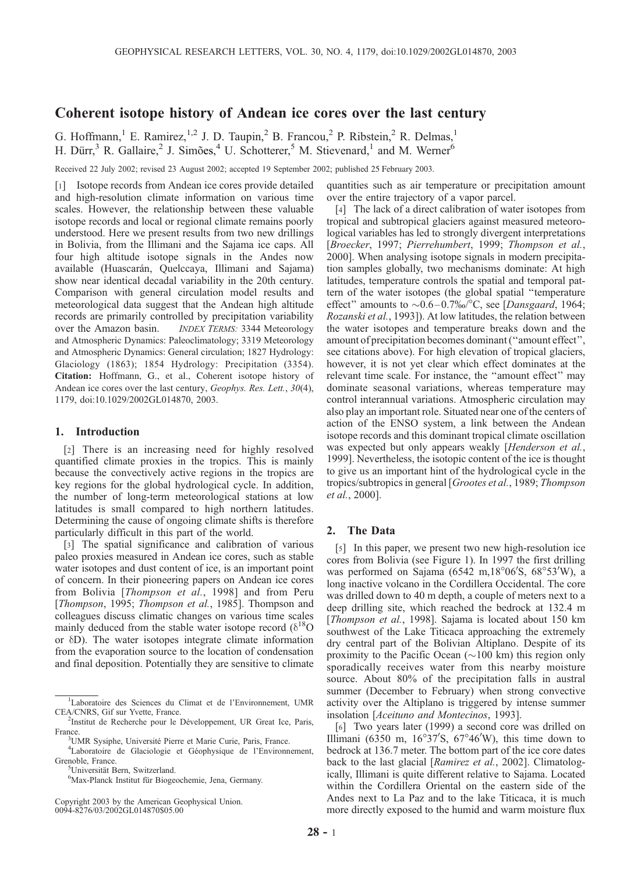# Coherent isotope history of Andean ice cores over the last century

G. Hoffmann,<sup>1</sup> E. Ramirez,<sup>1,2</sup> J. D. Taupin,<sup>2</sup> B. Francou,<sup>2</sup> P. Ribstein,<sup>2</sup> R. Delmas,<sup>1</sup> H. Dürr,<sup>3</sup> R. Gallaire,<sup>2</sup> J. Simões,<sup>4</sup> U. Schotterer,<sup>5</sup> M. Stievenard,<sup>1</sup> and M. Werner<sup>6</sup>

Received 22 July 2002; revised 23 August 2002; accepted 19 September 2002; published 25 February 2003.

[1] Isotope records from Andean ice cores provide detailed and high-resolution climate information on various time scales. However, the relationship between these valuable isotope records and local or regional climate remains poorly understood. Here we present results from two new drillings in Bolivia, from the Illimani and the Sajama ice caps. All four high altitude isotope signals in the Andes now available (Huascarán, Quelccaya, Illimani and Sajama) show near identical decadal variability in the 20th century. Comparison with general circulation model results and meteorological data suggest that the Andean high altitude records are primarily controlled by precipitation variability over the Amazon basin. INDEX TERMS: 3344 Meteorology and Atmospheric Dynamics: Paleoclimatology; 3319 Meteorology and Atmospheric Dynamics: General circulation; 1827 Hydrology: Glaciology (1863); 1854 Hydrology: Precipitation (3354). Citation: Hoffmann, G., et al., Coherent isotope history of Andean ice cores over the last century, Geophys. Res. Lett., 30(4), 1179, doi:10.1029/2002GL014870, 2003.

#### 1. Introduction

[2] There is an increasing need for highly resolved quantified climate proxies in the tropics. This is mainly because the convectively active regions in the tropics are key regions for the global hydrological cycle. In addition, the number of long-term meteorological stations at low latitudes is small compared to high northern latitudes. Determining the cause of ongoing climate shifts is therefore particularly difficult in this part of the world.

[3] The spatial significance and calibration of various paleo proxies measured in Andean ice cores, such as stable water isotopes and dust content of ice, is an important point of concern. In their pioneering papers on Andean ice cores from Bolivia [Thompson et al., 1998] and from Peru [Thompson, 1995; Thompson et al., 1985]. Thompson and colleagues discuss climatic changes on various time scales mainly deduced from the stable water isotope record ( $\delta^{18}$ O or  $\delta$ D). The water isotopes integrate climate information from the evaporation source to the location of condensation and final deposition. Potentially they are sensitive to climate

Copyright 2003 by the American Geophysical Union. 0094-8276/03/2002GL014870\$05.00

quantities such as air temperature or precipitation amount over the entire trajectory of a vapor parcel.

[4] The lack of a direct calibration of water isotopes from tropical and subtropical glaciers against measured meteorological variables has led to strongly divergent interpretations [Broecker, 1997; Pierrehumbert, 1999; Thompson et al., 2000]. When analysing isotope signals in modern precipitation samples globally, two mechanisms dominate: At high latitudes, temperature controls the spatial and temporal pattern of the water isotopes (the global spatial ''temperature effect" amounts to  $\sim 0.6 - 0.7\%$  °C, see [*Dansgaard*, 1964; Rozanski et al., 1993]). At low latitudes, the relation between the water isotopes and temperature breaks down and the amount of precipitation becomes dominant (''amount effect'', see citations above). For high elevation of tropical glaciers, however, it is not yet clear which effect dominates at the relevant time scale. For instance, the ''amount effect'' may dominate seasonal variations, whereas temperature may control interannual variations. Atmospheric circulation may also play an important role. Situated near one of the centers of action of the ENSO system, a link between the Andean isotope records and this dominant tropical climate oscillation was expected but only appears weakly [Henderson et al., 1999]. Nevertheless, the isotopic content of the ice is thought to give us an important hint of the hydrological cycle in the tropics/subtropics in general [Grootes et al., 1989; Thompson et al., 2000].

### 2. The Data

[5] In this paper, we present two new high-resolution ice cores from Bolivia (see Figure 1). In 1997 the first drilling was performed on Sajama (6542 m,18°06′S, 68°53′W), a long inactive volcano in the Cordillera Occidental. The core was drilled down to 40 m depth, a couple of meters next to a deep drilling site, which reached the bedrock at 132.4 m [Thompson et al., 1998]. Sajama is located about 150 km southwest of the Lake Titicaca approaching the extremely dry central part of the Bolivian Altiplano. Despite of its proximity to the Pacific Ocean ( $\sim$ 100 km) this region only sporadically receives water from this nearby moisture source. About 80% of the precipitation falls in austral summer (December to February) when strong convective activity over the Altiplano is triggered by intense summer insolation [Aceituno and Montecinos, 1993].

[6] Two years later (1999) a second core was drilled on Illimani (6350 m,  $16^{\circ}37'$ S,  $67^{\circ}46'$ W), this time down to bedrock at 136.7 meter. The bottom part of the ice core dates back to the last glacial [Ramirez et al., 2002]. Climatologically, Illimani is quite different relative to Sajama. Located within the Cordillera Oriental on the eastern side of the Andes next to La Paz and to the lake Titicaca, it is much more directly exposed to the humid and warm moisture flux

<sup>&</sup>lt;sup>1</sup>Laboratoire des Sciences du Climat et de l'Environnement, UMR CEA/CNRS, Gif sur Yvette, France.

 $2$ Institut de Recherche pour le Développement, UR Great Ice, Paris, France. <sup>3</sup>

<sup>&</sup>lt;sup>3</sup>UMR Sysiphe, Université Pierre et Marie Curie, Paris, France.

<sup>&</sup>lt;sup>4</sup>Laboratoire de Glaciologie et Géophysique de l'Environnement, Grenoble, France.

<sup>&</sup>lt;sup>5</sup>Universität Bern, Switzerland.

<sup>&</sup>lt;sup>6</sup>Max-Planck Institut für Biogeochemie, Jena, Germany.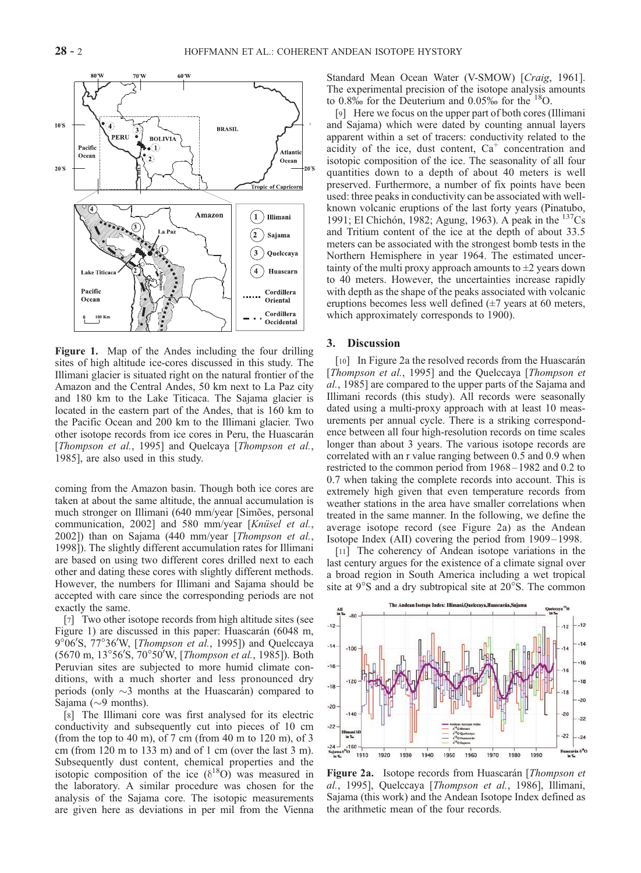

Figure 1. Map of the Andes including the four drilling sites of high altitude ice-cores discussed in this study. The Illimani glacier is situated right on the natural frontier of the Amazon and the Central Andes, 50 km next to La Paz city and 180 km to the Lake Titicaca. The Sajama glacier is located in the eastern part of the Andes, that is 160 km to the Pacific Ocean and 200 km to the Illimani glacier. Two other isotope records from ice cores in Peru, the Huascarán [Thompson et al., 1995] and Quelcaya [Thompson et al., 1985], are also used in this study.

coming from the Amazon basin. Though both ice cores are taken at about the same altitude, the annual accumulation is much stronger on Illimani (640 mm/year [Simões, personal communication, 2002] and 580 mm/year [Knüsel et al., 2002]) than on Sajama (440 mm/year [Thompson et al., 1998]). The slightly different accumulation rates for Illimani are based on using two different cores drilled next to each other and dating these cores with slightly different methods. However, the numbers for Illimani and Sajama should be accepted with care since the corresponding periods are not exactly the same.

[7] Two other isotope records from high altitude sites (see Figure 1) are discussed in this paper: Huascarán (6048 m, 9°06'S, 77°36'W, [Thompson et al., 1995]) and Quelccaya (5670 m, 13°56'S, 70°50'W, [Thompson et al., 1985]). Both Peruvian sites are subjected to more humid climate conditions, with a much shorter and less pronounced dry periods (only  $\sim$ 3 months at the Huascarán) compared to Sajama ( $\sim$ 9 months).

[8] The Illimani core was first analysed for its electric conductivity and subsequently cut into pieces of 10 cm (from the top to 40 m), of 7 cm (from 40 m to 120 m), of 3 cm (from 120 m to 133 m) and of 1 cm (over the last 3 m). Subsequently dust content, chemical properties and the isotopic composition of the ice  $(\delta^{18}O)$  was measured in the laboratory. A similar procedure was chosen for the analysis of the Sajama core. The isotopic measurements are given here as deviations in per mil from the Vienna Standard Mean Ocean Water (V-SMOW) [Craig, 1961]. The experimental precision of the isotope analysis amounts to  $0.8\%$  for the Deuterium and  $0.05\%$  for the <sup>18</sup>O.

[9] Here we focus on the upper part of both cores (Illimani and Sajama) which were dated by counting annual layers apparent within a set of tracers: conductivity related to the acidity of the ice, dust content,  $Ca<sup>+</sup>$  concentration and isotopic composition of the ice. The seasonality of all four quantities down to a depth of about 40 meters is well preserved. Furthermore, a number of fix points have been used: three peaks in conductivity can be associated with wellknown volcanic eruptions of the last forty years (Pinatubo, 1991; El Chichón, 1982; Agung, 1963). A peak in the <sup>137</sup>Cs and Tritium content of the ice at the depth of about 33.5 meters can be associated with the strongest bomb tests in the Northern Hemisphere in year 1964. The estimated uncertainty of the multi proxy approach amounts to  $\pm 2$  years down to 40 meters. However, the uncertainties increase rapidly with depth as the shape of the peaks associated with volcanic eruptions becomes less well defined (±7 years at 60 meters, which approximately corresponds to 1900).

## 3. Discussion

[10] In Figure 2a the resolved records from the Huascarán [Thompson et al., 1995] and the Quelccaya [Thompson et al., 1985] are compared to the upper parts of the Sajama and Illimani records (this study). All records were seasonally dated using a multi-proxy approach with at least 10 measurements per annual cycle. There is a striking correspondence between all four high-resolution records on time scales longer than about 3 years. The various isotope records are correlated with an r value ranging between 0.5 and 0.9 when restricted to the common period from 1968 – 1982 and 0.2 to 0.7 when taking the complete records into account. This is extremely high given that even temperature records from weather stations in the area have smaller correlations when treated in the same manner. In the following, we define the average isotope record (see Figure 2a) as the Andean Isotope Index (AII) covering the period from 1909 – 1998.

[11] The coherency of Andean isotope variations in the last century argues for the existence of a climate signal over a broad region in South America including a wet tropical site at 9°S and a dry subtropical site at 20°S. The common



Figure 2a. Isotope records from Huascarán [Thompson et al., 1995], Quelccaya [Thompson et al., 1986], Illimani, Sajama (this work) and the Andean Isotope Index defined as the arithmetic mean of the four records.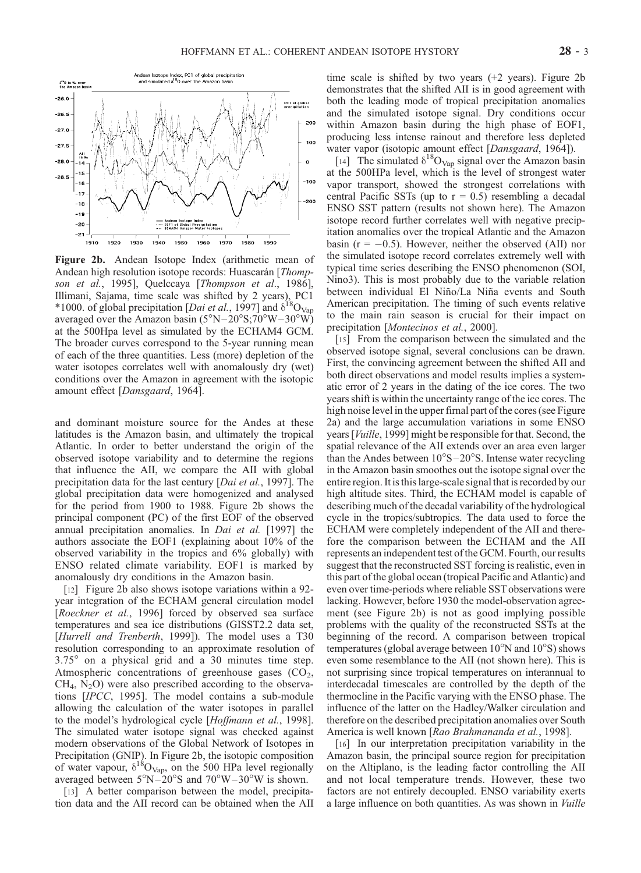

Figure 2b. Andean Isotope Index (arithmetic mean of Andean high resolution isotope records: Huascarán [Thompson et al., 1995], Quelccaya [Thompson et al., 1986], Illimani, Sajama, time scale was shifted by 2 years), PC1 \*1000. of global precipitation [*Dai et al.*, 1997] and  $\delta^{18}O_{\text{Vap}}$ averaged over the Amazon basin  $(5^{\circ}N-20^{\circ}S;70^{\circ}W-30^{\circ}W)$ at the 500Hpa level as simulated by the ECHAM4 GCM. The broader curves correspond to the 5-year running mean of each of the three quantities. Less (more) depletion of the water isotopes correlates well with anomalously dry (wet) conditions over the Amazon in agreement with the isotopic amount effect [Dansgaard, 1964].

and dominant moisture source for the Andes at these latitudes is the Amazon basin, and ultimately the tropical Atlantic. In order to better understand the origin of the observed isotope variability and to determine the regions that influence the AII, we compare the AII with global precipitation data for the last century [Dai et al., 1997]. The global precipitation data were homogenized and analysed for the period from 1900 to 1988. Figure 2b shows the principal component (PC) of the first EOF of the observed annual precipitation anomalies. In *Dai et al.* [1997] the authors associate the EOF1 (explaining about 10% of the observed variability in the tropics and 6% globally) with ENSO related climate variability. EOF1 is marked by anomalously dry conditions in the Amazon basin.

[12] Figure 2b also shows isotope variations within a 92year integration of the ECHAM general circulation model [Roeckner et al., 1996] forced by observed sea surface temperatures and sea ice distributions (GISST2.2 data set, [Hurrell and Trenberth, 1999]). The model uses a T30 resolution corresponding to an approximate resolution of  $3.75^{\circ}$  on a physical grid and a 30 minutes time step. Atmospheric concentrations of greenhouse gases  $(CO<sub>2</sub>,$  $CH<sub>4</sub>, N<sub>2</sub>O$ ) were also prescribed according to the observations [IPCC, 1995]. The model contains a sub-module allowing the calculation of the water isotopes in parallel to the model's hydrological cycle [Hoffmann et al., 1998]. The simulated water isotope signal was checked against modern observations of the Global Network of Isotopes in Precipitation (GNIP). In Figure 2b, the isotopic composition of water vapour,  $\delta^{18}O_{Vap}$ , on the 500 HPa level regionally averaged between  $5^{\circ}$ N $-20^{\circ}$ S and  $70^{\circ}$ W $-30^{\circ}$ W is shown.

[13] A better comparison between the model, precipitation data and the AII record can be obtained when the AII time scale is shifted by two years (+2 years). Figure 2b demonstrates that the shifted AII is in good agreement with both the leading mode of tropical precipitation anomalies and the simulated isotope signal. Dry conditions occur within Amazon basin during the high phase of EOF1, producing less intense rainout and therefore less depleted water vapor (isotopic amount effect [Dansgaard, 1964]).

[14] The simulated  $\delta^{18}O_{\text{Vap}}$  signal over the Amazon basin at the 500HPa level, which is the level of strongest water vapor transport, showed the strongest correlations with central Pacific SSTs (up to  $r = 0.5$ ) resembling a decadal ENSO SST pattern (results not shown here). The Amazon isotope record further correlates well with negative precipitation anomalies over the tropical Atlantic and the Amazon basin ( $r = -0.5$ ). However, neither the observed (AII) nor the simulated isotope record correlates extremely well with typical time series describing the ENSO phenomenon (SOI, Nino3). This is most probably due to the variable relation between individual El Niño/La Niña events and South American precipitation. The timing of such events relative to the main rain season is crucial for their impact on precipitation [Montecinos et al., 2000].

[15] From the comparison between the simulated and the observed isotope signal, several conclusions can be drawn. First, the convincing agreement between the shifted AII and both direct observations and model results implies a systematic error of 2 years in the dating of the ice cores. The two years shift is within the uncertainty range of the ice cores. The high noise level in the upper firnal part of the cores (see Figure 2a) and the large accumulation variations in some ENSO years [Vuille, 1999] might be responsible for that. Second, the spatial relevance of the AII extends over an area even larger than the Andes between  $10^{\circ}S - 20^{\circ}S$ . Intense water recycling in the Amazon basin smoothes out the isotope signal over the entire region. It is this large-scale signal that is recorded by our high altitude sites. Third, the ECHAM model is capable of describing much of the decadal variability of the hydrological cycle in the tropics/subtropics. The data used to force the ECHAM were completely independent of the AII and therefore the comparison between the ECHAM and the AII represents an independent test of the GCM. Fourth, our results suggest that the reconstructed SST forcing is realistic, even in this part of the global ocean (tropical Pacific and Atlantic) and even over time-periods where reliable SST observations were lacking. However, before 1930 the model-observation agreement (see Figure 2b) is not as good implying possible problems with the quality of the reconstructed SSTs at the beginning of the record. A comparison between tropical temperatures (global average between  $10^{\circ}$ N and  $10^{\circ}$ S) shows even some resemblance to the AII (not shown here). This is not surprising since tropical temperatures on interannual to interdecadal timescales are controlled by the depth of the thermocline in the Pacific varying with the ENSO phase. The influence of the latter on the Hadley/Walker circulation and therefore on the described precipitation anomalies over South America is well known [Rao Brahmananda et al., 1998].

[16] In our interpretation precipitation variability in the Amazon basin, the principal source region for precipitation on the Altiplano, is the leading factor controlling the AII and not local temperature trends. However, these two factors are not entirely decoupled. ENSO variability exerts a large influence on both quantities. As was shown in Vuille